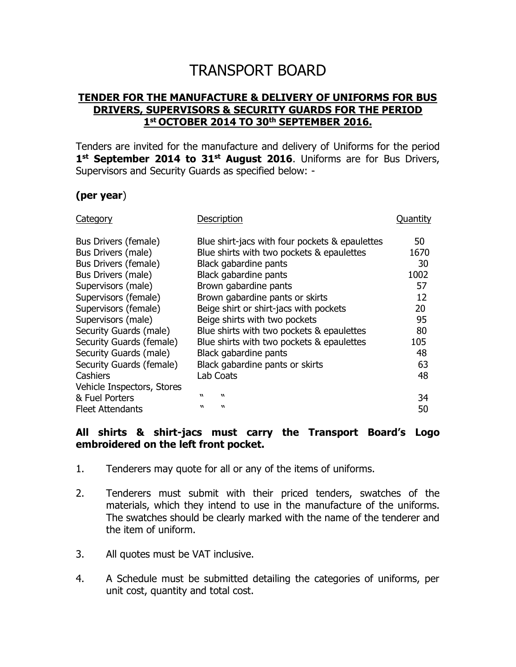## TRANSPORT BOARD

## **TENDER FOR THE MANUFACTURE & DELIVERY OF UNIFORMS FOR BUS DRIVERS, SUPERVISORS & SECURITY GUARDS FOR THE PERIOD 1 st OCTOBER 2014 TO 30 th SEPTEMBER 2016.**

Tenders are invited for the manufacture and delivery of Uniforms for the period **1 st September 2014 to 31st August 2016**. Uniforms are for Bus Drivers, Supervisors and Security Guards as specified below: -

## **(per year**)

| Category                   | Description                                    | Ouantity |
|----------------------------|------------------------------------------------|----------|
| Bus Drivers (female)       | Blue shirt-jacs with four pockets & epaulettes | 50       |
| Bus Drivers (male)         | Blue shirts with two pockets & epaulettes      | 1670     |
| Bus Drivers (female)       | Black gabardine pants                          | 30       |
| Bus Drivers (male)         | Black gabardine pants                          | 1002     |
| Supervisors (male)         | Brown gabardine pants                          | 57       |
| Supervisors (female)       | Brown gabardine pants or skirts                | 12       |
| Supervisors (female)       | Beige shirt or shirt-jacs with pockets         | 20       |
| Supervisors (male)         | Beige shirts with two pockets                  | 95       |
| Security Guards (male)     | Blue shirts with two pockets & epaulettes      | 80       |
| Security Guards (female)   | Blue shirts with two pockets & epaulettes      | 105      |
| Security Guards (male)     | Black gabardine pants                          | 48       |
| Security Guards (female)   | Black gabardine pants or skirts                | 63       |
| Cashiers                   | <b>Lab Coats</b>                               | 48       |
| Vehicle Inspectors, Stores |                                                |          |
| & Fuel Porters             | $\boldsymbol{v}$<br>w                          | 34       |
| Fleet Attendants           | w<br>w                                         | 50       |

## **All shirts & shirt-jacs must carry the Transport Board's Logo embroidered on the left front pocket.**

- 1. Tenderers may quote for all or any of the items of uniforms.
- 2. Tenderers must submit with their priced tenders, swatches of the materials, which they intend to use in the manufacture of the uniforms. The swatches should be clearly marked with the name of the tenderer and the item of uniform.
- 3. All quotes must be VAT inclusive.
- 4. A Schedule must be submitted detailing the categories of uniforms, per unit cost, quantity and total cost.